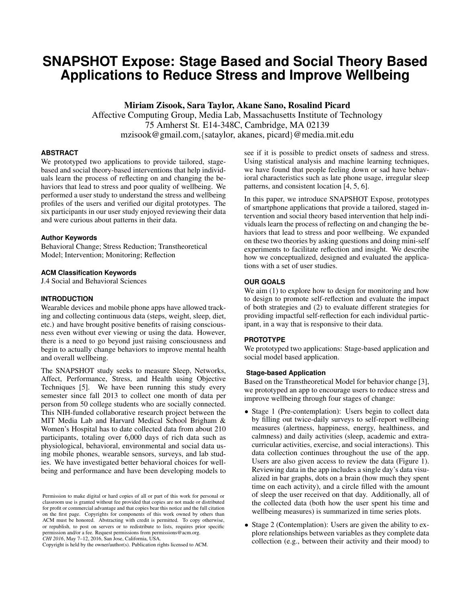# **SNAPSHOT Expose: Stage Based and Social Theory Based Applications to Reduce Stress and Improve Wellbeing**

Miriam Zisook, Sara Taylor, Akane Sano, Rosalind Picard

Affective Computing Group, Media Lab, Massachusetts Institute of Technology 75 Amherst St. E14-348C, Cambridge, MA 02139 mzisook@gmail.com,{sataylor, akanes, picard}@media.mit.edu

# **ABSTRACT**

We prototyped two applications to provide tailored, stagebased and social theory-based interventions that help individuals learn the process of reflecting on and changing the behaviors that lead to stress and poor quality of wellbeing. We performed a user study to understand the stress and wellbeing profiles of the users and verified our digital prototypes. The six participants in our user study enjoyed reviewing their data and were curious about patterns in their data.

# **Author Keywords**

Behavioral Change; Stress Reduction; Transtheoretical Model; Intervention; Monitoring; Reflection

## **ACM Classification Keywords**

J.4 Social and Behavioral Sciences

## **INTRODUCTION**

Wearable devices and mobile phone apps have allowed tracking and collecting continuous data (steps, weight, sleep, diet, etc.) and have brought positive benefits of raising consciousness even without ever viewing or using the data. However, there is a need to go beyond just raising consciousness and begin to actually change behaviors to improve mental health and overall wellbeing.

The SNAPSHOT study seeks to measure Sleep, Networks, Affect, Performance, Stress, and Health using Objective Techniques [\[5\]](#page-3-0). We have been running this study every semester since fall 2013 to collect one month of data per person from 50 college students who are socially connected. This NIH-funded collaborative research project between the MIT Media Lab and Harvard Medical School Brigham & Women's Hospital has to date collected data from about 210 participants, totaling over 6,000 days of rich data such as physiological, behavioral, environmental and social data using mobile phones, wearable sensors, surveys, and lab studies. We have investigated better behavioral choices for wellbeing and performance and have been developing models to

Copyright is held by the owner/author(s). Publication rights licensed to ACM.

see if it is possible to predict onsets of sadness and stress. Using statistical analysis and machine learning techniques, we have found that people feeling down or sad have behavioral characteristics such as late phone usage, irregular sleep patterns, and consistent location [\[4,](#page-3-1) [5,](#page-3-0) [6\]](#page-3-2).

In this paper, we introduce SNAPSHOT Expose, prototypes of smartphone applications that provide a tailored, staged intervention and social theory based intervention that help individuals learn the process of reflecting on and changing the behaviors that lead to stress and poor wellbeing. We expanded on these two theories by asking questions and doing mini-self experiments to facilitate reflection and insight. We describe how we conceptualized, designed and evaluated the applications with a set of user studies.

## **OUR GOALS**

We aim  $(1)$  to explore how to design for monitoring and how to design to promote self-reflection and evaluate the impact of both strategies and (2) to evaluate different strategies for providing impactful self-reflection for each individual participant, in a way that is responsive to their data.

# **PROTOTYPE**

We prototyped two applications: Stage-based application and social model based application.

#### **Stage-based Application**

Based on the Transtheoretical Model for behavior change [\[3\]](#page-3-3), we prototyped an app to encourage users to reduce stress and improve wellbeing through four stages of change:

- Stage 1 (Pre-contemplation): Users begin to collect data by filling out twice-daily surveys to self-report wellbeing measures (alertness, happiness, energy, healthiness, and calmness) and daily activities (sleep, academic and extracurricular activities, exercise, and social interactions). This data collection continues throughout the use of the app. Users are also given access to review the data (Figure [1\)](#page-1-0). Reviewing data in the app includes a single day's data visualized in bar graphs, dots on a brain (how much they spent time on each activity), and a circle filled with the amount of sleep the user received on that day. Additionally, all of the collected data (both how the user spent his time and wellbeing measures) is summarized in time series plots.
- Stage 2 (Contemplation): Users are given the ability to explore relationships between variables as they complete data collection (e.g., between their activity and their mood) to

Permission to make digital or hard copies of all or part of this work for personal or classroom use is granted without fee provided that copies are not made or distributed for profit or commercial advantage and that copies bear this notice and the full citation on the first page. Copyrights for components of this work owned by others than ACM must be honored. Abstracting with credit is permitted. To copy otherwise, or republish, to post on servers or to redistribute to lists, requires prior specific permission and/or a fee. Request permissions from permissions@acm.org. *CHI 2016*, May 7–12, 2016, San Jose, California, USA.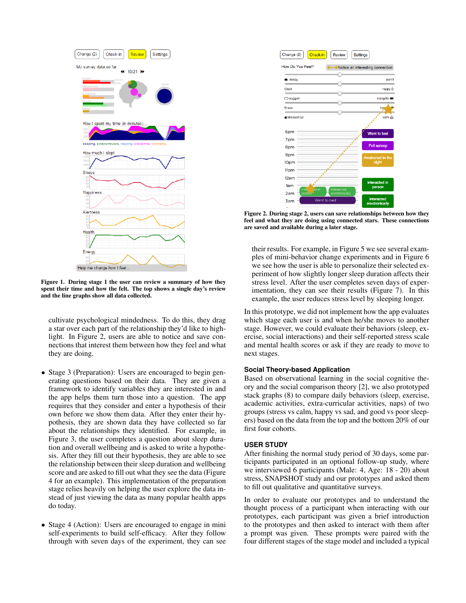

<span id="page-1-0"></span>Figure 1. During stage 1 the user can review a summary of how they spent their time and how the felt. The top shows a single day's review and the line graphs show all data collected.

cultivate psychological mindedness. To do this, they drag a star over each part of the relationship they'd like to highlight. In Figure [2,](#page-1-1) users are able to notice and save connections that interest them between how they feel and what they are doing.

- Stage 3 (Preparation): Users are encouraged to begin generating questions based on their data. They are given a framework to identify variables they are interested in and the app helps them turn those into a question. The app requires that they consider and enter a hypothesis of their own before we show them data. After they enter their hypothesis, they are shown data they have collected so far about the relationships they identified. For example, in Figure [3,](#page-2-0) the user completes a question about sleep duration and overall wellbeing and is asked to write a hypothesis. After they fill out their hypothesis, they are able to see the relationship between their sleep duration and wellbeing score and are asked to fill out what they see the data (Figure [4](#page-2-1) for an example). This implementation of the preparation stage relies heavily on helping the user explore the data instead of just viewing the data as many popular health apps do today.
- Stage 4 (Action): Users are encouraged to engage in mini self-experiments to build self-efficacy. After they follow through with seven days of the experiment, they can see



<span id="page-1-1"></span>Figure 2. During stage 2, users can save relationships between how they feel and what they are doing using connected stars. These connections are saved and available during a later stage.

their results. For example, in Figure [5](#page-2-2) we see several examples of mini-behavior change experiments and in Figure [6](#page-2-3) we see how the user is able to personalize their selected experiment of how slightly longer sleep duration affects their stress level. After the user completes seven days of experimentation, they can see their results (Figure [7\)](#page-3-4). In this example, the user reduces stress level by sleeping longer.

In this prototype, we did not implement how the app evaluates which stage each user is and when he/she moves to another stage. However, we could evaluate their behaviors (sleep, exercise, social interactions) and their self-reported stress scale and mental health scores or ask if they are ready to move to next stages.

## **Social Theory-based Application**

Based on observational learning in the social cognitive theory and the social comparison theory [\[2\]](#page-3-5), we also prototyped stack graphs [\(8\)](#page-3-6) to compare daily behaviors (sleep, exercise, academic activities, extra-curricular activities, naps) of two groups (stress vs calm, happy vs sad, and good vs poor sleepers) based on the data from the top and the bottom 20% of our first four cohorts.

#### **USER STUDY**

After finishing the normal study period of 30 days, some participants participated in an optional follow-up study, where we interviewed 6 participants (Male: 4, Age: 18 - 20) about stress, SNAPSHOT study and our prototypes and asked them to fill out qualitative and quantitative surveys.

In order to evaluate our prototypes and to understand the thought process of a participant when interacting with our prototypes, each participant was given a brief introduction to the prototypes and then asked to interact with them after a prompt was given. These prompts were paired with the four different stages of the stage model and included a typical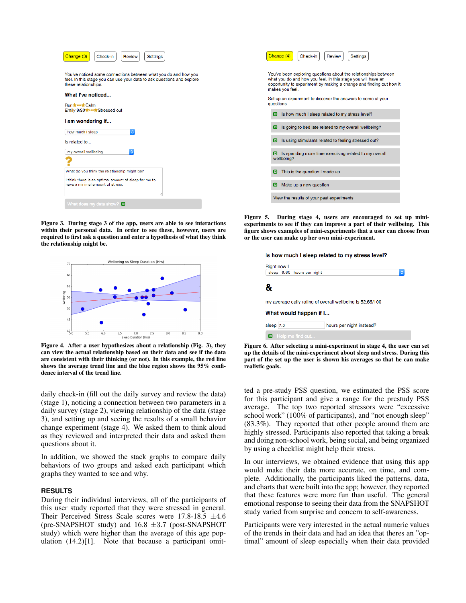| Change (3)<br>Check-in<br>Review<br>Settings                                                                                                                      | Change (4)                                                                 |
|-------------------------------------------------------------------------------------------------------------------------------------------------------------------|----------------------------------------------------------------------------|
| You've noticed some connections between what you do and how you<br>feel. In this stage you can use your data to ask questions and explore<br>these relationships. | You've been exp<br>what you do and<br>opportunity to ex<br>makes you feel. |
| What I've noticed<br>Run the of Calm                                                                                                                              | Set up an experi<br>questions                                              |
| Emily 9/30***** Stressed out                                                                                                                                      | Is how mi<br>冋                                                             |
| I am wondering if<br>ö<br>how much I sleep                                                                                                                        | Is going to<br>▣                                                           |
| Is related to                                                                                                                                                     | Is using s<br>▣                                                            |
| Ö.<br>my overall wellbeing                                                                                                                                        | Is spendi<br>▣<br>wellbeing?                                               |
| What do you think the relationship might be?                                                                                                                      | This is the<br>冋                                                           |
| I think there is an optimal amount of sleep for me to<br>have a minimal amount of stress.                                                                         | Make up<br>▣                                                               |
|                                                                                                                                                                   | View the resu                                                              |
| What does my data show? $\Box$                                                                                                                                    |                                                                            |

<span id="page-2-0"></span>Figure 3. During stage 3 of the app, users are able to see interactions within their personal data. In order to see these, however, users are required to first ask a question and enter a hypothesis of what they think the relationship might be.



<span id="page-2-1"></span>Figure 4. After a user hypothesizes about a relationship (Fig. [3\)](#page-2-0), they can view the actual relationship based on their data and see if the data are consistent with their thinking (or not). In this example, the red line shows the average trend line and the blue region shows the 95% confidence interval of the trend line.

daily check-in (fill out the daily survey and review the data) (stage 1), noticing a connection between two parameters in a daily survey (stage 2), viewing relationship of the data (stage 3), and setting up and seeing the results of a small behavior change experiment (stage 4). We asked them to think aloud as they reviewed and interpreted their data and asked them questions about it.

In addition, we showed the stack graphs to compare daily behaviors of two groups and asked each participant which graphs they wanted to see and why.

#### **RESULTS**

During their individual interviews, all of the participants of this user study reported that they were stressed in general. Their Perceived Stress Scale scores were  $17.8-18.5 \pm 4.6$ (pre-SNAPSHOT study) and  $16.8 \pm 3.7$  (post-SNAPSHOT study) which were higher than the average of this age population  $(14.2)[1]$  $(14.2)[1]$ . Note that because a participant omit-

|                                                                                                                                                                                                                           |           | Check-in<br>Change (4)<br>Review<br><b>Settings</b>                  |  |
|---------------------------------------------------------------------------------------------------------------------------------------------------------------------------------------------------------------------------|-----------|----------------------------------------------------------------------|--|
| You've been exploring questions about the relationships between<br>what you do and how you feel. In this stage you will have an<br>opportunity to experiment by making a change and finding out how it<br>makes you feel. |           |                                                                      |  |
|                                                                                                                                                                                                                           | questions | Set up an experiment to discover the answers to some of your         |  |
|                                                                                                                                                                                                                           | ▣         | Is how much I sleep related to my stress level?                      |  |
|                                                                                                                                                                                                                           | ▣         | Is going to bed late related to my overall wellbeing?                |  |
|                                                                                                                                                                                                                           | ▣         | Is using stimulants related to feeling stressed out?                 |  |
|                                                                                                                                                                                                                           | ▣         | Is spending more time exercising related to my overall<br>wellbeing? |  |
|                                                                                                                                                                                                                           | ▣         | This is the question I made up                                       |  |
|                                                                                                                                                                                                                           | ▣         | Make up a new question                                               |  |
|                                                                                                                                                                                                                           |           | View the results of your past experiments                            |  |

<span id="page-2-2"></span>Figure 5. During stage 4, users are encouraged to set up miniexperiments to see if they can improve a part of their wellbeing. This figure shows examples of mini-experiments that a user can choose from or the user can make up her own mini-experiment.

| Right now I                                               |  |  |
|-----------------------------------------------------------|--|--|
| sleep 6.60 hours per night<br>¢                           |  |  |
|                                                           |  |  |
| 8                                                         |  |  |
|                                                           |  |  |
| my average daily rating of overall wellbeing is 52.65/100 |  |  |
|                                                           |  |  |
| What would happen if I                                    |  |  |
|                                                           |  |  |
| sleep 7.0<br>hours per night instead?                     |  |  |
|                                                           |  |  |
| Help me find out<br>п                                     |  |  |
|                                                           |  |  |

<span id="page-2-3"></span>Figure 6. After selecting a mini-experiment in stage 4, the user can set up the details of the mini-experiment about sleep and stress. During this part of the set up the user is shown his averages so that he can make realistic goals.

ted a pre-study PSS question, we estimated the PSS score for this participant and give a range for the prestudy PSS average. The top two reported stressors were "excessive school work" (100% of participants), and "not enough sleep" (83.3%). They reported that other people around them are highly stressed. Participants also reported that taking a break and doing non-school work, being social, and being organized by using a checklist might help their stress.

In our interviews, we obtained evidence that using this app would make their data more accurate, on time, and complete. Additionally, the participants liked the patterns, data, and charts that were built into the app; however, they reported that these features were more fun than useful. The general emotional response to seeing their data from the SNAPSHOT study varied from surprise and concern to self-awareness.

Participants were very interested in the actual numeric values of the trends in their data and had an idea that theres an "optimal" amount of sleep especially when their data provided